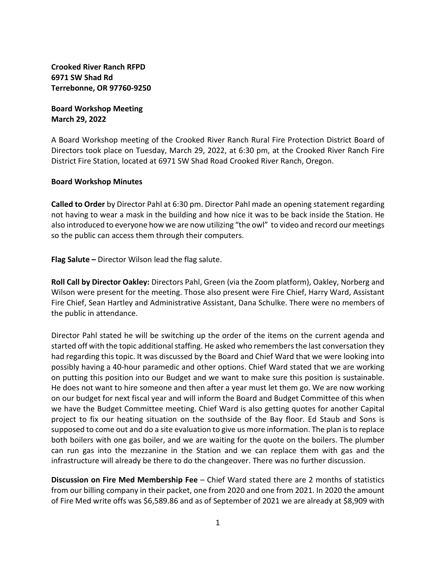**Crooked River Ranch RFPD 6971 SW Shad Rd Terrebonne, OR 97760-9250** 

**Board Workshop Meeting March 29, 2022** 

A Board Workshop meeting of the Crooked River Ranch Rural Fire Protection District Board of Directors took place on Tuesday, March 29, 2022, at 6:30 pm, at the Crooked River Ranch Fire District Fire Station, located at 6971 SW Shad Road Crooked River Ranch, Oregon.

## **Board Workshop Minutes**

**Called to Order** by Director Pahl at 6:30 pm. Director Pahl made an opening statement regarding not having to wear a mask in the building and how nice it was to be back inside the Station. He also introduced to everyone how we are now utilizing "the owl" to video and record our meetings so the public can access them through their computers.

**Flag Salute –** Director Wilson lead the flag salute.

**Roll Call by Director Oakley:** Directors Pahl, Green (via the Zoom platform), Oakley, Norberg and Wilson were present for the meeting. Those also present were Fire Chief, Harry Ward, Assistant Fire Chief, Sean Hartley and Administrative Assistant, Dana Schulke. There were no members of the public in attendance.

Director Pahl stated he will be switching up the order of the items on the current agenda and started off with the topic additional staffing. He asked who remembers the last conversation they had regarding this topic. It was discussed by the Board and Chief Ward that we were looking into possibly having a 40-hour paramedic and other options. Chief Ward stated that we are working on putting this position into our Budget and we want to make sure this position is sustainable. He does not want to hire someone and then after a year must let them go. We are now working on our budget for next fiscal year and will inform the Board and Budget Committee of this when we have the Budget Committee meeting. Chief Ward is also getting quotes for another Capital project to fix our heating situation on the southside of the Bay floor. Ed Staub and Sons is supposed to come out and do a site evaluation to give us more information. The plan is to replace both boilers with one gas boiler, and we are waiting for the quote on the boilers. The plumber can run gas into the mezzanine in the Station and we can replace them with gas and the infrastructure will already be there to do the changeover. There was no further discussion.

**Discussion on Fire Med Membership Fee** – Chief Ward stated there are 2 months of statistics from our billing company in their packet, one from 2020 and one from 2021. In 2020 the amount of Fire Med write offs was \$6,589.86 and as of September of 2021 we are already at \$8,909 with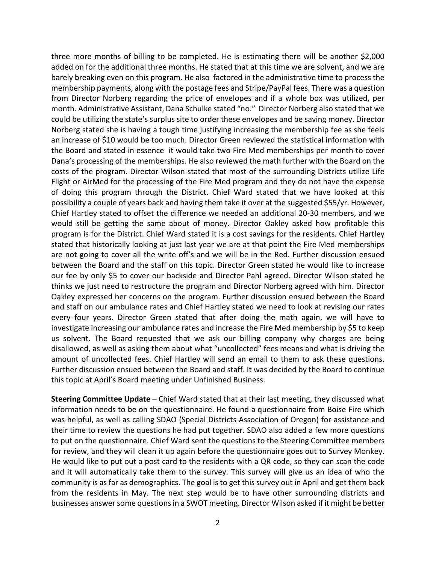three more months of billing to be completed. He is estimating there will be another \$2,000 added on for the additional three months. He stated that at this time we are solvent, and we are barely breaking even on this program. He also factored in the administrative time to process the membership payments, along with the postage fees and Stripe/PayPal fees. There was a question from Director Norberg regarding the price of envelopes and if a whole box was utilized, per month. Administrative Assistant, Dana Schulke stated "no." Director Norberg also stated that we could be utilizing the state's surplus site to order these envelopes and be saving money. Director Norberg stated she is having a tough time justifying increasing the membership fee as she feels an increase of \$10 would be too much. Director Green reviewed the statistical information with the Board and stated in essence it would take two Fire Med memberships per month to cover Dana's processing of the memberships. He also reviewed the math further with the Board on the costs of the program. Director Wilson stated that most of the surrounding Districts utilize Life Flight or AirMed for the processing of the Fire Med program and they do not have the expense of doing this program through the District. Chief Ward stated that we have looked at this possibility a couple of years back and having them take it over at the suggested \$55/yr. However, Chief Hartley stated to offset the difference we needed an additional 20-30 members, and we would still be getting the same about of money. Director Oakley asked how profitable this program is for the District. Chief Ward stated it is a cost savings for the residents. Chief Hartley stated that historically looking at just last year we are at that point the Fire Med memberships are not going to cover all the write off's and we will be in the Red. Further discussion ensued between the Board and the staff on this topic. Director Green stated he would like to increase our fee by only \$5 to cover our backside and Director Pahl agreed. Director Wilson stated he thinks we just need to restructure the program and Director Norberg agreed with him. Director Oakley expressed her concerns on the program. Further discussion ensued between the Board and staff on our ambulance rates and Chief Hartley stated we need to look at revising our rates every four years. Director Green stated that after doing the math again, we will have to investigate increasing our ambulance rates and increase the Fire Med membership by \$5 to keep us solvent. The Board requested that we ask our billing company why charges are being disallowed, as well as asking them about what "uncollected" fees means and what is driving the amount of uncollected fees. Chief Hartley will send an email to them to ask these questions. Further discussion ensued between the Board and staff. It was decided by the Board to continue this topic at April's Board meeting under Unfinished Business.

**Steering Committee Update** – Chief Ward stated that at their last meeting, they discussed what information needs to be on the questionnaire. He found a questionnaire from Boise Fire which was helpful, as well as calling SDAO (Special Districts Association of Oregon) for assistance and their time to review the questions he had put together. SDAO also added a few more questions to put on the questionnaire. Chief Ward sent the questions to the Steering Committee members for review, and they will clean it up again before the questionnaire goes out to Survey Monkey. He would like to put out a post card to the residents with a QR code, so they can scan the code and it will automatically take them to the survey. This survey will give us an idea of who the community is as far as demographics. The goal is to get this survey out in April and get them back from the residents in May. The next step would be to have other surrounding districts and businesses answer some questions in a SWOT meeting. Director Wilson asked if it might be better